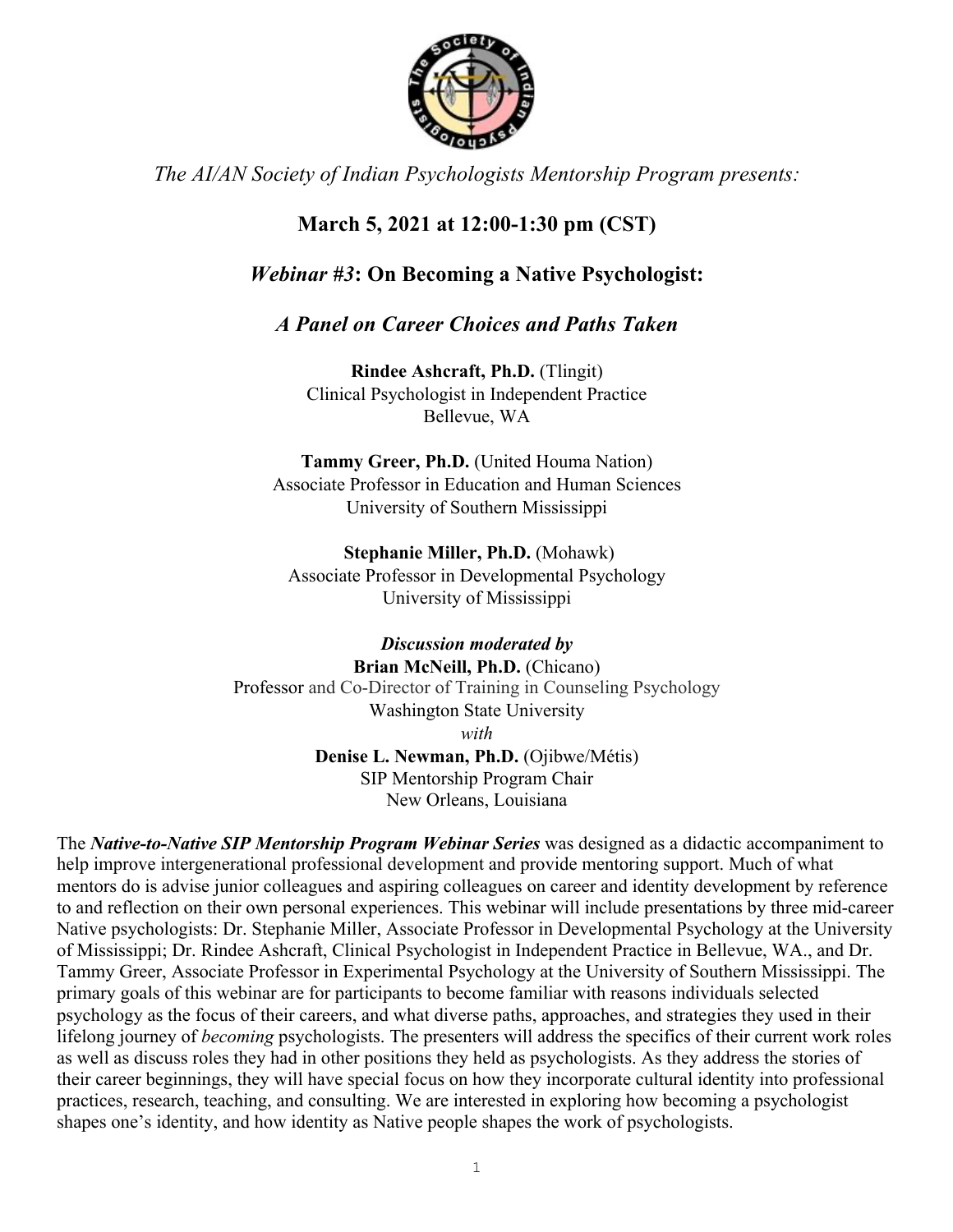

*The AI/AN Society of Indian Psychologists Mentorship Program presents:*

# **March 5, 2021 at 12:00-1:30 pm (CST)**

## *Webinar #3***: On Becoming a Native Psychologist:**

### *A Panel on Career Choices and Paths Taken*

**Rindee Ashcraft, Ph.D.** (Tlingit) Clinical Psychologist in Independent Practice Bellevue, WA

**Tammy Greer, Ph.D.** (United Houma Nation) Associate Professor in Education and Human Sciences University of Southern Mississippi

**Stephanie Miller, Ph.D.** (Mohawk) Associate Professor in Developmental Psychology University of Mississippi

*Discussion moderated by*  **Brian McNeill, Ph.D.** (Chicano) Professor and Co-Director of Training in Counseling Psychology Washington State University *with* **Denise L. Newman, Ph.D.** (Ojibwe/Métis) SIP Mentorship Program Chair New Orleans, Louisiana

The *Native-to-Native SIP Mentorship Program Webinar Series* was designed as a didactic accompaniment to help improve intergenerational professional development and provide mentoring support. Much of what mentors do is advise junior colleagues and aspiring colleagues on career and identity development by reference to and reflection on their own personal experiences. This webinar will include presentations by three mid-career Native psychologists: Dr. Stephanie Miller, Associate Professor in Developmental Psychology at the University of Mississippi; Dr. Rindee Ashcraft, Clinical Psychologist in Independent Practice in Bellevue, WA., and Dr. Tammy Greer, Associate Professor in Experimental Psychology at the University of Southern Mississippi. The primary goals of this webinar are for participants to become familiar with reasons individuals selected psychology as the focus of their careers, and what diverse paths, approaches, and strategies they used in their lifelong journey of *becoming* psychologists. The presenters will address the specifics of their current work roles as well as discuss roles they had in other positions they held as psychologists. As they address the stories of their career beginnings, they will have special focus on how they incorporate cultural identity into professional practices, research, teaching, and consulting. We are interested in exploring how becoming a psychologist shapes one's identity, and how identity as Native people shapes the work of psychologists.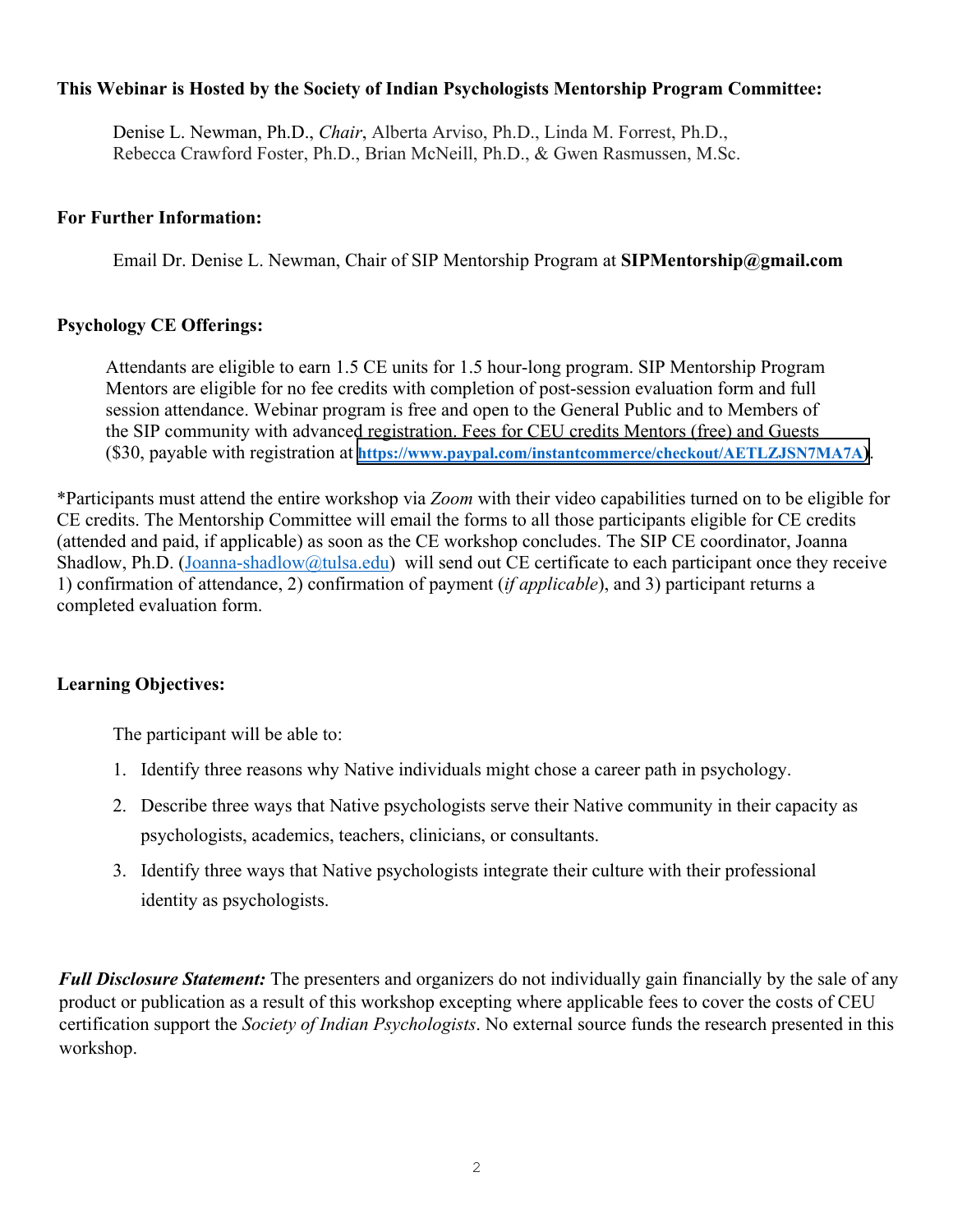#### **This Webinar is Hosted by the Society of Indian Psychologists Mentorship Program Committee:**

Denise L. Newman, Ph.D., *Chair*, Alberta Arviso, Ph.D., Linda M. Forrest, Ph.D., Rebecca Crawford Foster, Ph.D., Brian McNeill, Ph.D., & Gwen Rasmussen, M.Sc.

#### **For Further Information:**

Email Dr. Denise L. Newman, Chair of SIP Mentorship Program at **SIPMentorship@gmail.com** 

#### **Psychology CE Offerings:**

Attendants are eligible to earn 1.5 CE units for 1.5 hour-long program. SIP Mentorship Program Mentors are eligible for no fee credits with completion of post-session evaluation form and full session attendance. Webinar program is free and open to the General Public and to Members of the SIP community with advanced registration. Fees for CEU credits Mentors (free) and Guests (\$30, payable with registration at **<https://www.paypal.com/instantcommerce/checkout/AETLZJSN7MA7A>)**.

\*Participants must attend the entire workshop via *Zoom* with their video capabilities turned on to be eligible for CE credits. The Mentorship Committee will email the forms to all those participants eligible for CE credits (attended and paid, if applicable) as soon as the CE workshop concludes. The SIP CE coordinator, Joanna Shadlow, Ph.D. (Joanna-shadlow@tulsa.edu) will send out CE certificate to each participant once they receive 1) confirmation of attendance, 2) confirmation of payment (*if applicable*), and 3) participant returns a completed evaluation form.

### **Learning Objectives:**

The participant will be able to:

- 1. Identify three reasons why Native individuals might chose a career path in psychology.
- 2. Describe three ways that Native psychologists serve their Native community in their capacity as psychologists, academics, teachers, clinicians, or consultants.
- 3. Identify three ways that Native psychologists integrate their culture with their professional identity as psychologists.

*Full Disclosure Statement:* The presenters and organizers do not individually gain financially by the sale of any product or publication as a result of this workshop excepting where applicable fees to cover the costs of CEU certification support the *Society of Indian Psychologists*. No external source funds the research presented in this workshop.